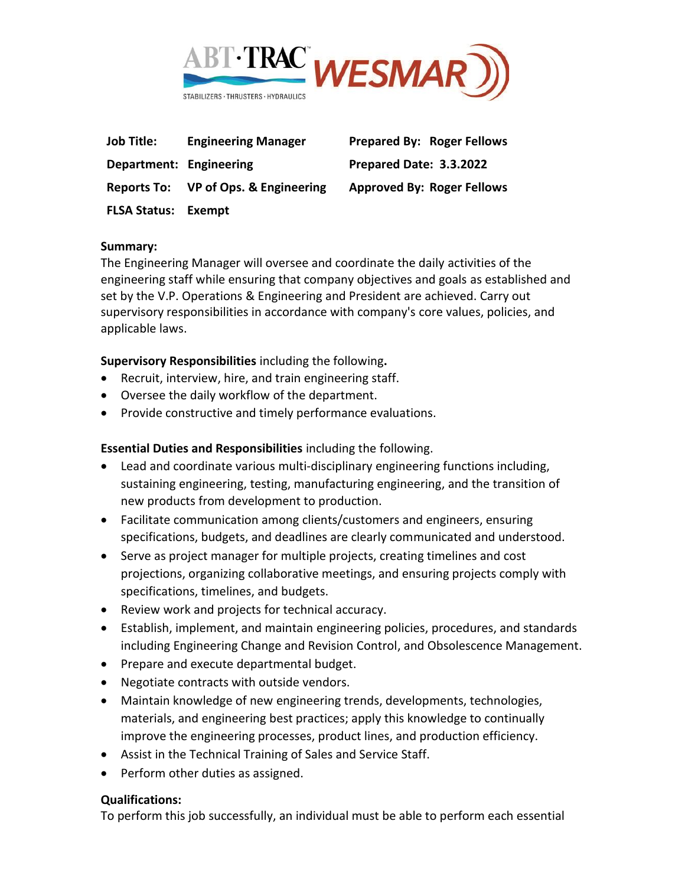

| <b>Job Title:</b>          | <b>Engineering Manager</b>           |
|----------------------------|--------------------------------------|
| Department: Engineering    |                                      |
|                            | Reports To: VP of Ops. & Engineering |
| <b>FLSA Status: Exempt</b> |                                      |

**Prepared By: Roger Fellows Department: Engineering Prepared Date: 3.3.2022 Approved By: Roger Fellows** 

#### **Summary:**

The Engineering Manager will oversee and coordinate the daily activities of the engineering staff while ensuring that company objectives and goals as established and set by the V.P. Operations & Engineering and President are achieved. Carry out supervisory responsibilities in accordance with company's core values, policies, and applicable laws.

**Supervisory Responsibilities** including the following**.**

- Recruit, interview, hire, and train engineering staff.
- Oversee the daily workflow of the department.
- Provide constructive and timely performance evaluations.

### **Essential Duties and Responsibilities** including the following.

- Lead and coordinate various multi-disciplinary engineering functions including, sustaining engineering, testing, manufacturing engineering, and the transition of new products from development to production.
- Facilitate communication among clients/customers and engineers, ensuring specifications, budgets, and deadlines are clearly communicated and understood.
- Serve as project manager for multiple projects, creating timelines and cost projections, organizing collaborative meetings, and ensuring projects comply with specifications, timelines, and budgets.
- Review work and projects for technical accuracy.
- Establish, implement, and maintain engineering policies, procedures, and standards including Engineering Change and Revision Control, and Obsolescence Management.
- Prepare and execute departmental budget.
- Negotiate contracts with outside vendors.
- Maintain knowledge of new engineering trends, developments, technologies, materials, and engineering best practices; apply this knowledge to continually improve the engineering processes, product lines, and production efficiency.
- Assist in the Technical Training of Sales and Service Staff.
- Perform other duties as assigned.

### **Qualifications:**

To perform this job successfully, an individual must be able to perform each essential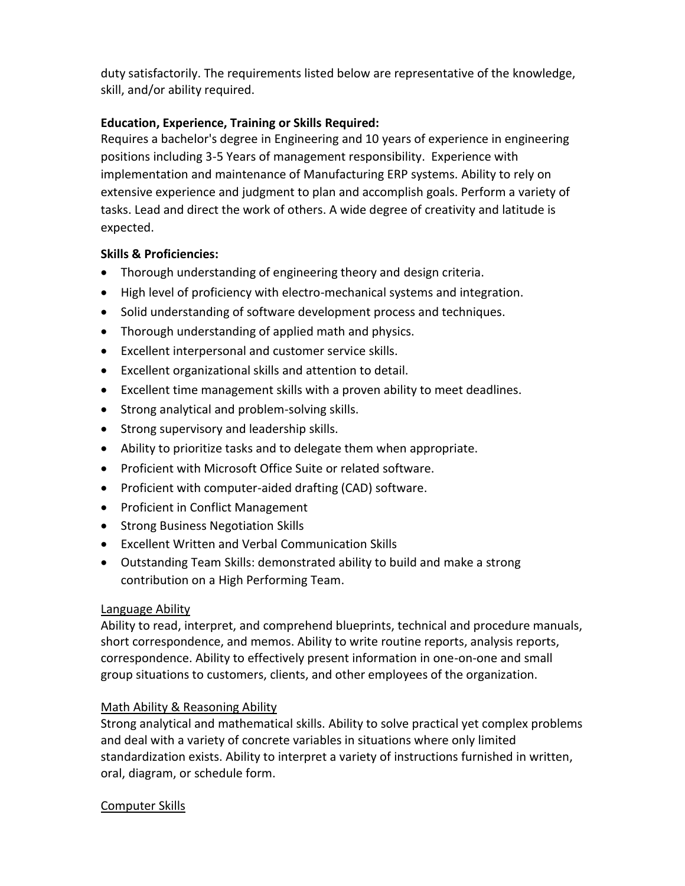duty satisfactorily. The requirements listed below are representative of the knowledge, skill, and/or ability required.

## **Education, Experience, Training or Skills Required:**

Requires a bachelor's degree in Engineering and 10 years of experience in engineering positions including 3-5 Years of management responsibility. Experience with implementation and maintenance of Manufacturing ERP systems. Ability to rely on extensive experience and judgment to plan and accomplish goals. Perform a variety of tasks. Lead and direct the work of others. A wide degree of creativity and latitude is expected.

### **Skills & Proficiencies:**

- Thorough understanding of engineering theory and design criteria.
- High level of proficiency with electro-mechanical systems and integration.
- Solid understanding of software development process and techniques.
- Thorough understanding of applied math and physics.
- Excellent interpersonal and customer service skills.
- Excellent organizational skills and attention to detail.
- Excellent time management skills with a proven ability to meet deadlines.
- Strong analytical and problem-solving skills.
- Strong supervisory and leadership skills.
- Ability to prioritize tasks and to delegate them when appropriate.
- Proficient with Microsoft Office Suite or related software.
- Proficient with computer-aided drafting (CAD) software.
- Proficient in Conflict Management
- Strong Business Negotiation Skills
- Excellent Written and Verbal Communication Skills
- Outstanding Team Skills: demonstrated ability to build and make a strong contribution on a High Performing Team.

### Language Ability

Ability to read, interpret, and comprehend blueprints, technical and procedure manuals, short correspondence, and memos. Ability to write routine reports, analysis reports, correspondence. Ability to effectively present information in one-on-one and small group situations to customers, clients, and other employees of the organization.

# Math Ability & Reasoning Ability

Strong analytical and mathematical skills. Ability to solve practical yet complex problems and deal with a variety of concrete variables in situations where only limited standardization exists. Ability to interpret a variety of instructions furnished in written, oral, diagram, or schedule form.

### Computer Skills